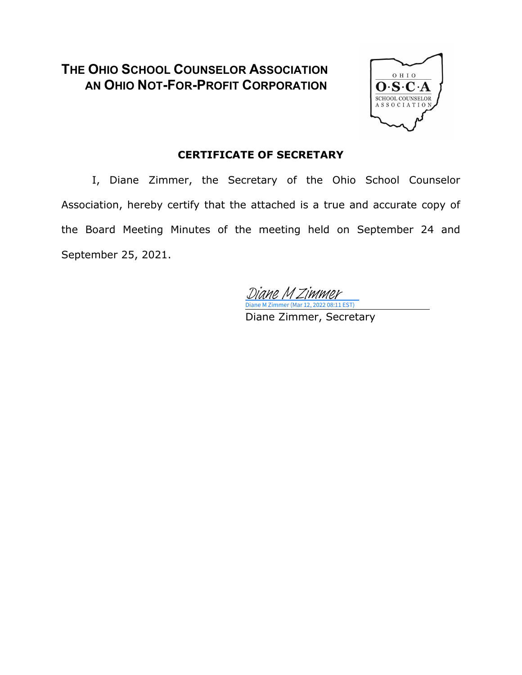# **THE OHIO SCHOOL COUNSELOR ASSOCIATION AN OHIO NOT-FOR-PROFIT CORPORATION**



### **CERTIFICATE OF SECRETARY**

I, Diane Zimmer, the Secretary of the Ohio School Counselor Association, hereby certify that the attached is a true and accurate copy of the Board Meeting Minutes of the meeting held on September 24 and September 25, 2021.

Diane M Zimmer (Mar 12, 2022 08:11 EST) [Diane M Zimmer](https://na1.documents.adobe.com/verifier?tx=CBJCHBCAABAAvzmIgpnQPA511en7Htdsc5vX1wWZY-cU)

Diane Zimmer, Secretary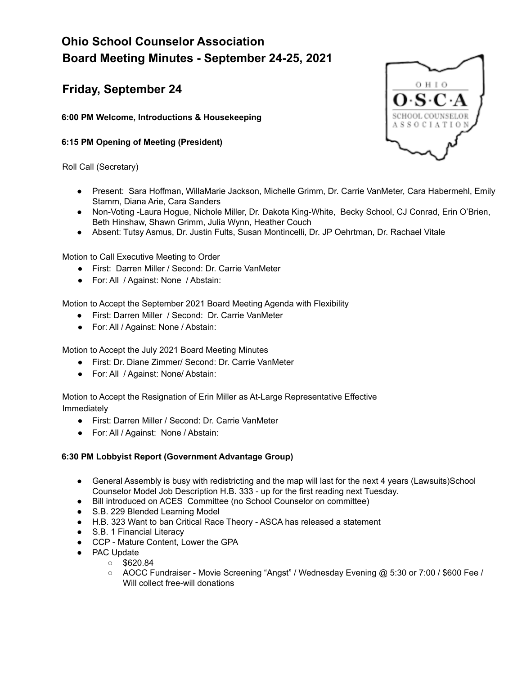# **Ohio School Counselor Association Board Meeting Minutes - September 24-25, 2021**

## **Friday, September 24**

**6:00 PM Welcome, Introductions & Housekeeping**

### **6:15 PM Opening of Meeting (President)**

Roll Call (Secretary)

- онго ASSOCIATI
- Present: Sara Hoffman, WillaMarie Jackson, Michelle Grimm, Dr. Carrie VanMeter, Cara Habermehl, Emily Stamm, Diana Arie, Cara Sanders
- Non-Voting -Laura Hogue, Nichole Miller, Dr. Dakota King-White, Becky School, CJ Conrad, Erin O'Brien, Beth Hinshaw, Shawn Grimm, Julia Wynn, Heather Couch
- Absent: Tutsy Asmus, Dr. Justin Fults, Susan Montincelli, Dr. JP Oehrtman, Dr. Rachael Vitale

Motion to Call Executive Meeting to Order

- First: Darren Miller / Second: Dr. Carrie VanMeter
- For: All / Against: None / Abstain:

Motion to Accept the September 2021 Board Meeting Agenda with Flexibility

- First: Darren Miller / Second: Dr. Carrie VanMeter
- For: All / Against: None / Abstain:

Motion to Accept the July 2021 Board Meeting Minutes

- First: Dr. Diane Zimmer/ Second: Dr. Carrie VanMeter
- For: All / Against: None/ Abstain:

Motion to Accept the Resignation of Erin Miller as At-Large Representative Effective Immediately

- First: Darren Miller / Second: Dr. Carrie VanMeter
- For: All / Against: None / Abstain:

### **6:30 PM Lobbyist Report (Government Advantage Group)**

- General Assembly is busy with redistricting and the map will last for the next 4 years (Lawsuits)School Counselor Model Job Description H.B. 333 - up for the first reading next Tuesday.
- Bill introduced on ACES Committee (no School Counselor on committee)
- S.B. 229 Blended Learning Model
- H.B. 323 Want to ban Critical Race Theory ASCA has released a statement
- S.B. 1 Financial Literacy
- CCP Mature Content, Lower the GPA
- PAC Update
	- $\circ$  \$620.84
	- AOCC Fundraiser Movie Screening "Angst" / Wednesday Evening @ 5:30 or 7:00 / \$600 Fee / Will collect free-will donations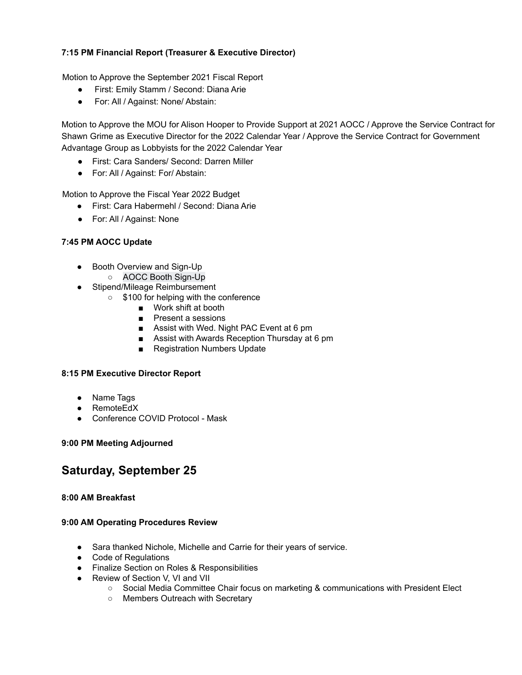### **7:15 PM Financial Report (Treasurer & Executive Director)**

Motion to Approve the September 2021 Fiscal Report

- First: Emily Stamm / Second: Diana Arie
- For: All / Against: None/ Abstain:

Motion to Approve the MOU for Alison Hooper to Provide Support at 2021 AOCC / Approve the Service Contract for Shawn Grime as Executive Director for the 2022 Calendar Year / Approve the Service Contract for Government Advantage Group as Lobbyists for the 2022 Calendar Year

- First: Cara Sanders/ Second: Darren Miller
- For: All / Against: For/ Abstain:

Motion to Approve the Fiscal Year 2022 Budget

- First: Cara Habermehl / Second: Diana Arie
- For: All / Against: None

### **7:45 PM AOCC Update**

- Booth Overview and Sign-Up
	- AOCC Booth Sign-Up
- Stipend/Mileage Reimbursement
	- \$100 for helping with the conference
		- Work shift at booth
		- Present a sessions
		- Assist with Wed. Night PAC Event at 6 pm
		- Assist with Awards Reception Thursday at 6 pm
		- Registration Numbers Update

### **8:15 PM Executive Director Report**

- Name Tags
- RemoteEdX
- Conference COVID Protocol Mask

### **9:00 PM Meeting Adjourned**

### **Saturday, September 25**

### **8:00 AM Breakfast**

### **9:00 AM Operating Procedures Review**

- Sara thanked Nichole, Michelle and Carrie for their years of service.
- Code of Regulations
- Finalize Section on Roles & Responsibilities
- Review of Section V, VI and VII
	- Social Media Committee Chair focus on marketing & communications with President Elect
	- Members Outreach with Secretary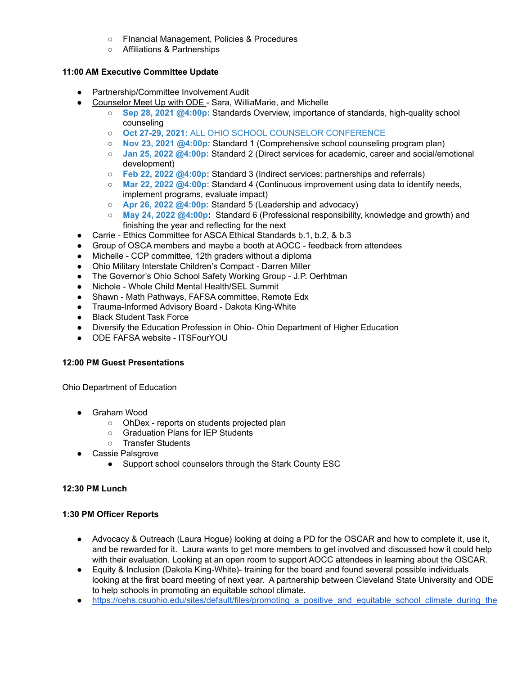- FInancial Management, Policies & Procedures
- Affiliations & Partnerships

### **11:00 AM Executive Committee Update**

- Partnership/Committee Involvement Audit
- Counselor Meet Up with ODE Sara, WilliaMarie, and Michelle
	- **Sep 28, 2021 [@4:00p:](https://teams.microsoft.com/l/meetup-join/19%3ameeting_YmU2OWI2MTMtNjI1Ny00ZDQxLTg2NjktNWY1OWVmZDg4ZGFl%40thread.v2/0?context=%7b%22Tid%22%3a%2250f8fcc4-94d8-4f07-84eb-36ed57c7c8a2%22%2c%22Oid%22%3a%22ff018550-449d-4101-83f9-e38dfbf34017%22%7d)** Standards Overview, importance of standards, high-quality school counseling
	- **Oct 27-29, 2021:** ALL OHIO SCHOOL COUNSELOR [CONFERENCE](https://aocc.site/)
	- **Nov 23, [2021](https://teams.microsoft.com/l/meetup-join/19%3ameeting_MjRiNTI2MTgtMDE5Mi00MzVlLWEyMTMtNTE4NGE1YzQ2NjNk%40thread.v2/0?context=%7b%22Tid%22%3a%2250f8fcc4-94d8-4f07-84eb-36ed57c7c8a2%22%2c%22Oid%22%3a%22ff018550-449d-4101-83f9-e38dfbf34017%22%7d) [@4:00p](https://teams.microsoft.com/l/meetup-join/19%3ameeting_YmU2OWI2MTMtNjI1Ny00ZDQxLTg2NjktNWY1OWVmZDg4ZGFl%40thread.v2/0?context=%7b%22Tid%22%3a%2250f8fcc4-94d8-4f07-84eb-36ed57c7c8a2%22%2c%22Oid%22%3a%22ff018550-449d-4101-83f9-e38dfbf34017%22%7d)[:](https://teams.microsoft.com/l/meetup-join/19%3ameeting_MjRiNTI2MTgtMDE5Mi00MzVlLWEyMTMtNTE4NGE1YzQ2NjNk%40thread.v2/0?context=%7b%22Tid%22%3a%2250f8fcc4-94d8-4f07-84eb-36ed57c7c8a2%22%2c%22Oid%22%3a%22ff018550-449d-4101-83f9-e38dfbf34017%22%7d)** Standard 1 (Comprehensive school counseling program plan)
	- **Jan 25, [2022](https://teams.microsoft.com/l/meetup-join/19%3ameeting_OTZmYzBhNzctMTJlYS00NDg5LWFhZDEtYWE4ZGEwN2ExYjk5%40thread.v2/0?context=%7b%22Tid%22%3a%2250f8fcc4-94d8-4f07-84eb-36ed57c7c8a2%22%2c%22Oid%22%3a%22ff018550-449d-4101-83f9-e38dfbf34017%22%7d) [@4:00p](https://teams.microsoft.com/l/meetup-join/19%3ameeting_YmU2OWI2MTMtNjI1Ny00ZDQxLTg2NjktNWY1OWVmZDg4ZGFl%40thread.v2/0?context=%7b%22Tid%22%3a%2250f8fcc4-94d8-4f07-84eb-36ed57c7c8a2%22%2c%22Oid%22%3a%22ff018550-449d-4101-83f9-e38dfbf34017%22%7d)[:](https://teams.microsoft.com/l/meetup-join/19%3ameeting_OTZmYzBhNzctMTJlYS00NDg5LWFhZDEtYWE4ZGEwN2ExYjk5%40thread.v2/0?context=%7b%22Tid%22%3a%2250f8fcc4-94d8-4f07-84eb-36ed57c7c8a2%22%2c%22Oid%22%3a%22ff018550-449d-4101-83f9-e38dfbf34017%22%7d)** Standard 2 (Direct services for academic, career and social/emotional development)
	- **Feb 22, [2022](https://teams.microsoft.com/l/meetup-join/19%3ameeting_MTBkYWMyZjEtNTZmNS00MTk3LTljNjAtMzZhZjI3NWQ3NjAy%40thread.v2/0?context=%7b%22Tid%22%3a%2250f8fcc4-94d8-4f07-84eb-36ed57c7c8a2%22%2c%22Oid%22%3a%22ff018550-449d-4101-83f9-e38dfbf34017%22%7d) [@4:00p](https://teams.microsoft.com/l/meetup-join/19%3ameeting_YmU2OWI2MTMtNjI1Ny00ZDQxLTg2NjktNWY1OWVmZDg4ZGFl%40thread.v2/0?context=%7b%22Tid%22%3a%2250f8fcc4-94d8-4f07-84eb-36ed57c7c8a2%22%2c%22Oid%22%3a%22ff018550-449d-4101-83f9-e38dfbf34017%22%7d)[:](https://teams.microsoft.com/l/meetup-join/19%3ameeting_MTBkYWMyZjEtNTZmNS00MTk3LTljNjAtMzZhZjI3NWQ3NjAy%40thread.v2/0?context=%7b%22Tid%22%3a%2250f8fcc4-94d8-4f07-84eb-36ed57c7c8a2%22%2c%22Oid%22%3a%22ff018550-449d-4101-83f9-e38dfbf34017%22%7d)** Standard 3 (Indirect services: partnerships and referrals)
	- **Mar 22, [2022](https://teams.microsoft.com/l/meetup-join/19%3ameeting_YjlhNzNkMjgtM2JjOC00ZDgyLWI3NzktOThlYTZhZTRlZDgx%40thread.v2/0?context=%7b%22Tid%22%3a%2250f8fcc4-94d8-4f07-84eb-36ed57c7c8a2%22%2c%22Oid%22%3a%22ff018550-449d-4101-83f9-e38dfbf34017%22%7d) [@4:00p](https://teams.microsoft.com/l/meetup-join/19%3ameeting_YmU2OWI2MTMtNjI1Ny00ZDQxLTg2NjktNWY1OWVmZDg4ZGFl%40thread.v2/0?context=%7b%22Tid%22%3a%2250f8fcc4-94d8-4f07-84eb-36ed57c7c8a2%22%2c%22Oid%22%3a%22ff018550-449d-4101-83f9-e38dfbf34017%22%7d)[:](https://teams.microsoft.com/l/meetup-join/19%3ameeting_YjlhNzNkMjgtM2JjOC00ZDgyLWI3NzktOThlYTZhZTRlZDgx%40thread.v2/0?context=%7b%22Tid%22%3a%2250f8fcc4-94d8-4f07-84eb-36ed57c7c8a2%22%2c%22Oid%22%3a%22ff018550-449d-4101-83f9-e38dfbf34017%22%7d)** Standard 4 (Continuous improvement using data to identify needs, implement programs, evaluate impact)
	- **Apr 26, [2022](https://teams.microsoft.com/l/meetup-join/19%3ameeting_ZjhmZmU5ZGEtYzkyZi00NjJjLTg4YzEtZTBkZGRmNzA2NjFk%40thread.v2/0?context=%7b%22Tid%22%3a%2250f8fcc4-94d8-4f07-84eb-36ed57c7c8a2%22%2c%22Oid%22%3a%22ff018550-449d-4101-83f9-e38dfbf34017%22%7d) [@4:00p](https://teams.microsoft.com/l/meetup-join/19%3ameeting_YmU2OWI2MTMtNjI1Ny00ZDQxLTg2NjktNWY1OWVmZDg4ZGFl%40thread.v2/0?context=%7b%22Tid%22%3a%2250f8fcc4-94d8-4f07-84eb-36ed57c7c8a2%22%2c%22Oid%22%3a%22ff018550-449d-4101-83f9-e38dfbf34017%22%7d)[:](https://teams.microsoft.com/l/meetup-join/19%3ameeting_ZjhmZmU5ZGEtYzkyZi00NjJjLTg4YzEtZTBkZGRmNzA2NjFk%40thread.v2/0?context=%7b%22Tid%22%3a%2250f8fcc4-94d8-4f07-84eb-36ed57c7c8a2%22%2c%22Oid%22%3a%22ff018550-449d-4101-83f9-e38dfbf34017%22%7d)** Standard 5 (Leadership and advocacy)
	- **May 24, [2022](https://teams.microsoft.com/l/meetup-join/19%3ameeting_MTQ3NzJjNGMtM2Y1NS00NWYyLTg0ZWQtOTAwYTA0Y2I0Nzdj%40thread.v2/0?context=%7b%22Tid%22%3a%2250f8fcc4-94d8-4f07-84eb-36ed57c7c8a2%22%2c%22Oid%22%3a%22ff018550-449d-4101-83f9-e38dfbf34017%22%7d) [@4:00p](https://teams.microsoft.com/l/meetup-join/19%3ameeting_YmU2OWI2MTMtNjI1Ny00ZDQxLTg2NjktNWY1OWVmZDg4ZGFl%40thread.v2/0?context=%7b%22Tid%22%3a%2250f8fcc4-94d8-4f07-84eb-36ed57c7c8a2%22%2c%22Oid%22%3a%22ff018550-449d-4101-83f9-e38dfbf34017%22%7d):** Standard 6 (Professional responsibility, knowledge and growth) and finishing the year and reflecting for the next
- Carrie Ethics Committee for ASCA Ethical Standards b.1, b.2, & b.3
- Group of OSCA members and maybe a booth at AOCC feedback from attendees
- Michelle CCP committee, 12th graders without a diploma
- Ohio Military Interstate Children's Compact Darren Miller
- The Governor's Ohio School Safety Working Group J.P. Oerhtman
- Nichole Whole Child Mental Health/SEL Summit
- Shawn Math Pathways, FAFSA committee, Remote Edx
- Trauma-Informed Advisory Board Dakota King-White
- Black Student Task Force
- Diversify the Education Profession in Ohio- Ohio Department of Higher Education
- ODE FAFSA website ITSFourYOU

### **12:00 PM Guest Presentations**

Ohio Department of Education

- Graham Wood
	- OhDex reports on students projected plan
	- Graduation Plans for IEP Students
	- Transfer Students
- Cassie Palsgrove
	- Support school counselors through the Stark County ESC

### **12:30 PM Lunch**

### **1:30 PM Officer Reports**

- Advocacy & Outreach (Laura Hogue) looking at doing a PD for the OSCAR and how to complete it, use it, and be rewarded for it. Laura wants to get more members to get involved and discussed how it could help with their evaluation. Looking at an open room to support AOCC attendees in learning about the OSCAR.
- Equity & Inclusion (Dakota King-White)- training for the board and found several possible individuals looking at the first board meeting of next year. A partnership between Cleveland State University and ODE to help schools in promoting an equitable school climate.
- https://cehs.csuohio.edu/sites/default/files/promoting a positive and equitable school climate during the